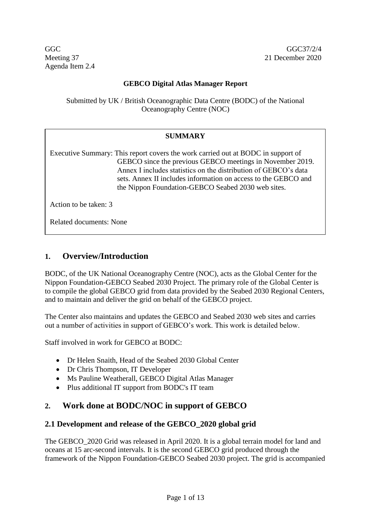Agenda Item 2.4

#### **GEBCO Digital Atlas Manager Report**

Submitted by UK / British Oceanographic Data Centre (BODC) of the National Oceanography Centre (NOC)

#### **SUMMARY**

Executive Summary: This report covers the work carried out at BODC in support of GEBCO since the previous GEBCO meetings in November 2019. Annex I includes statistics on the distribution of GEBCO's data sets. Annex II includes information on access to the GEBCO and the Nippon Foundation-GEBCO Seabed 2030 web sites.

Action to be taken: 3

Related documents: None

## **1. Overview/Introduction**

BODC, of the UK National Oceanography Centre (NOC), acts as the Global Center for the Nippon Foundation-GEBCO Seabed 2030 Project. The primary role of the Global Center is to compile the global GEBCO grid from data provided by the Seabed 2030 Regional Centers, and to maintain and deliver the grid on behalf of the GEBCO project.

The Center also maintains and updates the GEBCO and Seabed 2030 web sites and carries out a number of activities in support of GEBCO's work. This work is detailed below.

Staff involved in work for GEBCO at BODC:

- Dr Helen Snaith, Head of the Seabed 2030 Global Center
- Dr Chris Thompson, IT Developer
- Ms Pauline Weatherall, GEBCO Digital Atlas Manager
- Plus additional IT support from BODC's IT team

## **2. Work done at BODC/NOC in support of GEBCO**

#### **2.1 Development and release of the GEBCO\_2020 global grid**

The GEBCO\_2020 Grid was released in April 2020. It is a global terrain model for land and oceans at 15 arc-second intervals. It is the second GEBCO grid produced through the framework of the Nippon Foundation-GEBCO Seabed 2030 project. The grid is accompanied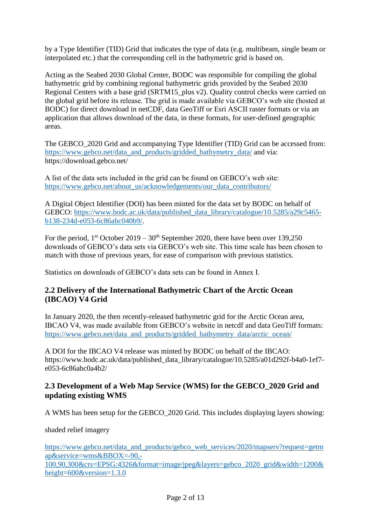by a Type Identifier (TID) Grid that indicates the type of data (e.g. multibeam, single beam or interpolated etc.) that the corresponding cell in the bathymetric grid is based on.

Acting as the Seabed 2030 Global Center, BODC was responsible for compiling the global bathymetric grid by combining regional bathymetric grids provided by the Seabed 2030 Regional Centers with a base grid (SRTM15 plus v2). Quality control checks were carried on the global grid before its release. The grid is made available via GEBCO's web site (hosted at BODC) for direct download in netCDF, data GeoTiff or Esri ASCII raster formats or via an application that allows download of the data, in these formats, for user-defined geographic areas.

The GEBCO\_2020 Grid and accompanying Type Identifier (TID) Grid can be accessed from: [https://www.gebco.net/data\\_and\\_products/gridded\\_bathymetry\\_data/](https://www.gebco.net/data_and_products/gridded_bathymetry_data/) and via: https://download.gebco.net/

A list of the data sets included in the grid can be found on GEBCO's web site: [https://www.gebco.net/about\\_us/acknowledgements/our\\_data\\_contributors/](https://www.gebco.net/about_us/acknowledgements/our_data_contributors/)

A Digital Object Identifier (DOI) has been minted for the data set by BODC on behalf of GEBCO: [https://www.bodc.ac.uk/data/published\\_data\\_library/catalogue/10.5285/a29c5465](https://www.bodc.ac.uk/data/published_data_library/catalogue/10.5285/a29c5465-b138-234d-e053-6c86abc040b9/) [b138-234d-e053-6c86abc040b9/.](https://www.bodc.ac.uk/data/published_data_library/catalogue/10.5285/a29c5465-b138-234d-e053-6c86abc040b9/)

For the period,  $1<sup>st</sup>$  October 2019 – 30<sup>th</sup> September 2020, there have been over 139,250 downloads of GEBCO's data sets via GEBCO's web site. This time scale has been chosen to match with those of previous years, for ease of comparison with previous statistics.

Statistics on downloads of GEBCO's data sets can be found in Annex I.

## **2.2 Delivery of the International Bathymetric Chart of the Arctic Ocean (IBCAO) V4 Grid**

In January 2020, the then recently-released bathymetric grid for the Arctic Ocean area, IBCAO V4, was made available from GEBCO's website in netcdf and data GeoTiff formats: [https://www.gebco.net/data\\_and\\_products/gridded\\_bathymetry\\_data/arctic\\_ocean/](https://www.gebco.net/data_and_products/gridded_bathymetry_data/arctic_ocean/)

A DOI for the IBCAO V4 release was minted by BODC on behalf of the IBCAO: https://www.bodc.ac.uk/data/published\_data\_library/catalogue/10.5285/a01d292f-b4a0-1ef7e053-6c86abc0a4b2/

## **2.3 Development of a Web Map Service (WMS) for the GEBCO\_2020 Grid and updating existing WMS**

A WMS has been setup for the GEBCO\_2020 Grid. This includes displaying layers showing:

shaded relief imagery

[https://www.gebco.net/data\\_and\\_products/gebco\\_web\\_services/2020/mapserv?request=getm](https://www.gebco.net/data_and_products/gebco_web_services/2020/mapserv?request=getmap&service=wms&BBOX=-90,-100,90,300&crs=EPSG:4326&format=image/jpeg&layers=gebco_2020_grid&width=1200&height=600&version=1.3.0) [ap&service=wms&BBOX=-90,-](https://www.gebco.net/data_and_products/gebco_web_services/2020/mapserv?request=getmap&service=wms&BBOX=-90,-100,90,300&crs=EPSG:4326&format=image/jpeg&layers=gebco_2020_grid&width=1200&height=600&version=1.3.0) [100,90,300&crs=EPSG:4326&format=image/jpeg&layers=gebco\\_2020\\_grid&width=1200&](https://www.gebco.net/data_and_products/gebco_web_services/2020/mapserv?request=getmap&service=wms&BBOX=-90,-100,90,300&crs=EPSG:4326&format=image/jpeg&layers=gebco_2020_grid&width=1200&height=600&version=1.3.0) [height=600&version=1.3.0](https://www.gebco.net/data_and_products/gebco_web_services/2020/mapserv?request=getmap&service=wms&BBOX=-90,-100,90,300&crs=EPSG:4326&format=image/jpeg&layers=gebco_2020_grid&width=1200&height=600&version=1.3.0)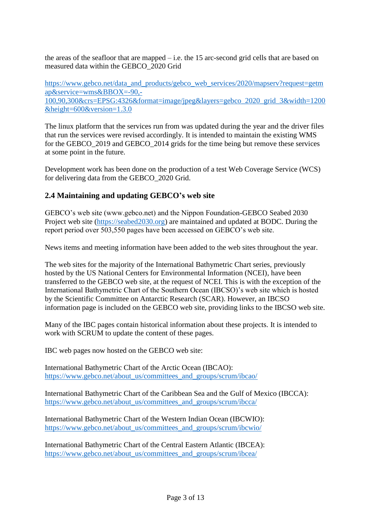the areas of the seafloor that are mapped – i.e. the 15 arc-second grid cells that are based on measured data within the GEBCO\_2020 Grid

[https://www.gebco.net/data\\_and\\_products/gebco\\_web\\_services/2020/mapserv?request=getm](https://www.gebco.net/data_and_products/gebco_web_services/2020/mapserv?request=getmap&service=wms&BBOX=-90,-100,90,300&crs=EPSG:4326&format=image/jpeg&layers=gebco_2020_grid_3&width=1200&height=600&version=1.3.0) [ap&service=wms&BBOX=-90,-](https://www.gebco.net/data_and_products/gebco_web_services/2020/mapserv?request=getmap&service=wms&BBOX=-90,-100,90,300&crs=EPSG:4326&format=image/jpeg&layers=gebco_2020_grid_3&width=1200&height=600&version=1.3.0) [100,90,300&crs=EPSG:4326&format=image/jpeg&layers=gebco\\_2020\\_grid\\_3&width=1200](https://www.gebco.net/data_and_products/gebco_web_services/2020/mapserv?request=getmap&service=wms&BBOX=-90,-100,90,300&crs=EPSG:4326&format=image/jpeg&layers=gebco_2020_grid_3&width=1200&height=600&version=1.3.0) [&height=600&version=1.3.0](https://www.gebco.net/data_and_products/gebco_web_services/2020/mapserv?request=getmap&service=wms&BBOX=-90,-100,90,300&crs=EPSG:4326&format=image/jpeg&layers=gebco_2020_grid_3&width=1200&height=600&version=1.3.0)

The linux platform that the services run from was updated during the year and the driver files that run the services were revised accordingly. It is intended to maintain the existing WMS for the GEBCO\_2019 and GEBCO\_2014 grids for the time being but remove these services at some point in the future.

Development work has been done on the production of a test Web Coverage Service (WCS) for delivering data from the GEBCO\_2020 Grid.

## **2.4 Maintaining and updating GEBCO's web site**

GEBCO's web site (www.gebco.net) and the Nippon Foundation-GEBCO Seabed 2030 Project web site [\(https://seabed2030.org\)](https://seabed2030.org/) are maintained and updated at BODC. During the report period over 503,550 pages have been accessed on GEBCO's web site.

News items and meeting information have been added to the web sites throughout the year.

The web sites for the majority of the International Bathymetric Chart series, previously hosted by the US National Centers for Environmental Information (NCEI), have been transferred to the GEBCO web site, at the request of NCEI. This is with the exception of the International Bathymetric Chart of the Southern Ocean (IBCSO)'s web site which is hosted by the Scientific Committee on Antarctic Research (SCAR). However, an IBCSO information page is included on the GEBCO web site, providing links to the IBCSO web site.

Many of the IBC pages contain historical information about these projects. It is intended to work with SCRUM to update the content of these pages.

IBC web pages now hosted on the GEBCO web site:

International Bathymetric Chart of the Arctic Ocean (IBCAO): [https://www.gebco.net/about\\_us/committees\\_and\\_groups/scrum/ibcao/](https://www.gebco.net/about_us/committees_and_groups/scrum/ibcao/)

International Bathymetric Chart of the Caribbean Sea and the Gulf of Mexico (IBCCA): [https://www.gebco.net/about\\_us/committees\\_and\\_groups/scrum/ibcca/](https://www.gebco.net/about_us/committees_and_groups/scrum/ibcca/)

International Bathymetric Chart of the Western Indian Ocean (IBCWIO): [https://www.gebco.net/about\\_us/committees\\_and\\_groups/scrum/ibcwio/](https://www.gebco.net/about_us/committees_and_groups/scrum/ibcwio/)

International Bathymetric Chart of the Central Eastern Atlantic (IBCEA): [https://www.gebco.net/about\\_us/committees\\_and\\_groups/scrum/ibcea/](https://www.gebco.net/about_us/committees_and_groups/scrum/ibcea/)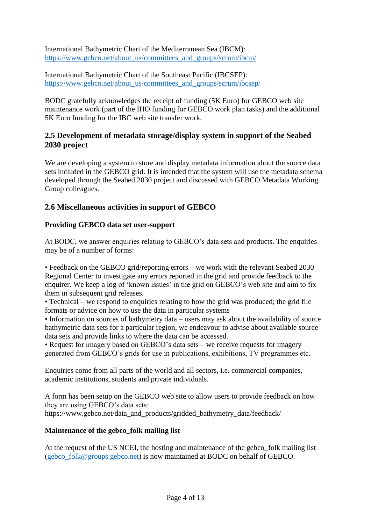International Bathymetric Chart of the Mediterranean Sea (IBCM): [https://www.gebco.net/about\\_us/committees\\_and\\_groups/scrum/ibcm/](https://www.gebco.net/about_us/committees_and_groups/scrum/ibcm/)

International Bathymetric Chart of the Southeast Pacific (IBCSEP): [https://www.gebco.net/about\\_us/committees\\_and\\_groups/scrum/ibcsep/](https://www.gebco.net/about_us/committees_and_groups/scrum/ibcsep/)

BODC gratefully acknowledges the receipt of funding (5K Euro) for GEBCO web site maintenance work (part of the IHO funding for GEBCO work plan tasks).and the additional 5K Euro funding for the IBC web site transfer work.

## **2.5 Development of metadata storage/display system in support of the Seabed 2030 project**

We are developing a system to store and display metadata information about the source data sets included in the GEBCO grid. It is intended that the system will use the metadata schema developed through the Seabed 2030 project and discussed with GEBCO Metadata Working Group colleagues.

## **2.6 Miscellaneous activities in support of GEBCO**

### **Providing GEBCO data set user-support**

At BODC, we answer enquiries relating to GEBCO's data sets and products. The enquiries may be of a number of forms:

• Feedback on the GEBCO grid/reporting errors – we work with the relevant Seabed 2030 Regional Center to investigate any errors reported in the grid and provide feedback to the enquirer. We keep a log of 'known issues' in the grid on GEBCO's web site and aim to fix them in subsequent grid releases.

• Technical – we respond to enquiries relating to how the grid was produced; the grid file formats or advice on how to use the data in particular systems

• Information on sources of bathymetry data – users may ask about the availability of source bathymetric data sets for a particular region, we endeavour to advise about available source data sets and provide links to where the data can be accessed.

• Request for imagery based on GEBCO's data sets – we receive requests for imagery generated from GEBCO's grids for use in publications, exhibitions, TV programmes etc.

Enquiries come from all parts of the world and all sectors, i.e. commercial companies, academic institutions, students and private individuals.

A form has been setup on the GEBCO web site to allow users to provide feedback on how they are using GEBCO's data sets: https://www.gebco.net/data\_and\_products/gridded\_bathymetry\_data/feedback/

#### **Maintenance of the gebco\_folk mailing list**

At the request of the US NCEI, the hosting and maintenance of the gebco\_folk mailing list [\(gebco\\_folk@groups.gebco.net\)](mailto:gebco_folk@groups.gebco.net) is now maintained at BODC on behalf of GEBCO.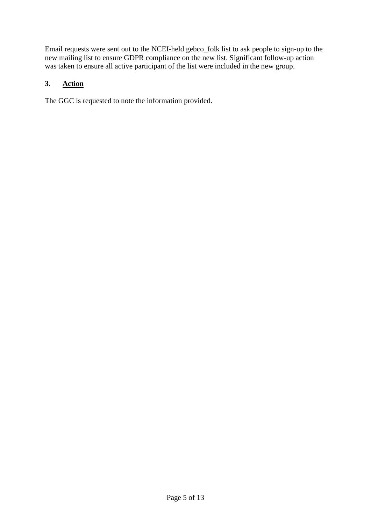Email requests were sent out to the NCEI-held gebco\_folk list to ask people to sign-up to the new mailing list to ensure GDPR compliance on the new list. Significant follow-up action was taken to ensure all active participant of the list were included in the new group.

#### **3. Action**

The GGC is requested to note the information provided.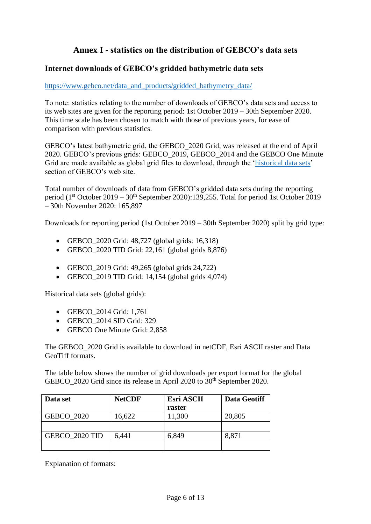# **Annex I - statistics on the distribution of GEBCO's data sets**

### **Internet downloads of GEBCO's gridded bathymetric data sets**

#### [https://www.gebco.net/data\\_and\\_products/gridded\\_bathymetry\\_data/](https://www.gebco.net/data_and_products/gridded_bathymetry_data/)

To note: statistics relating to the number of downloads of GEBCO's data sets and access to its web sites are given for the reporting period: 1st October 2019 – 30th September 2020. This time scale has been chosen to match with those of previous years, for ease of comparison with previous statistics.

GEBCO's latest bathymetric grid, the GEBCO\_2020 Grid, was released at the end of April 2020. GEBCO's previous grids: GEBCO\_2019, GEBCO\_2014 and the GEBCO One Minute Grid are made available as global grid files to download, through the ['historical data sets'](https://www.gebco.net/data_and_products/historical_data_sets/) section of GEBCO's web site.

Total number of downloads of data from GEBCO's gridded data sets during the reporting period ( $1<sup>st</sup>$  October 2019 –  $30<sup>th</sup>$  September 2020):139,255. Total for period 1st October 2019 – 30th November 2020: 165,897

Downloads for reporting period (1st October 2019 – 30th September 2020) split by grid type:

- GEBCO  $2020$  Grid: 48,727 (global grids: 16,318)
- GEBCO  $2020$  TID Grid: 22,161 (global grids 8,876)
- GEBCO\_2019 Grid: 49,265 (global grids 24,722)
- GEBCO  $2019$  TID Grid: 14,154 (global grids 4,074)

Historical data sets (global grids):

- GEBCO\_2014 Grid: 1,761
- GEBCO 2014 SID Grid: 329
- GEBCO One Minute Grid: 2,858

The GEBCO\_2020 Grid is available to download in netCDF, Esri ASCII raster and Data GeoTiff formats.

The table below shows the number of grid downloads per export format for the global GEBCO 2020 Grid since its release in April 2020 to 30<sup>th</sup> September 2020.

| Data set          | <b>NetCDF</b> | <b>Esri ASCII</b><br>raster | <b>Data Geotiff</b> |
|-------------------|---------------|-----------------------------|---------------------|
|                   |               |                             |                     |
| <b>GEBCO 2020</b> | 16,622        | 11,300                      | 20,805              |
|                   |               |                             |                     |
| GEBCO 2020 TID    | 6,441         | 6,849                       | 8,871               |
|                   |               |                             |                     |

Explanation of formats: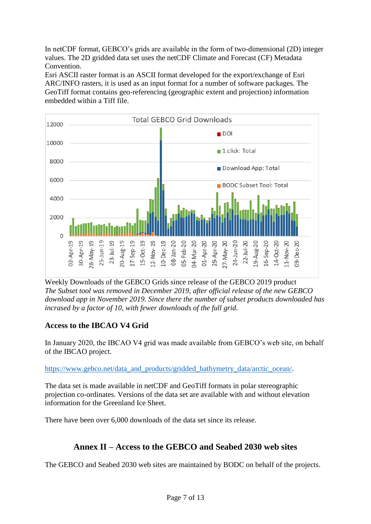In netCDF format, GEBCO's grids are available in the form of two-dimensional (2D) integer values. The 2D gridded data set uses the netCDF Climate and Forecast (CF) Metadata Convention.

Esri ASCII raster format is an ASCII format developed for the export/exchange of Esri ARC/INFO rasters, it is used as an input format for a number of software packages. The GeoTiff format contains geo-referencing (geographic extent and projection) information embedded within a Tiff file.



Weekly Downloads of the GEBCO Grids since release of the GEBCO 2019 product *The Subset tool was removed in December 2019, after official release of the new GEBCO download app in November 2019. Since there the number of subset products downloaded has incrased by a factor of 10, with fewer downloads of the full grid.*

## **Access to the IBCAO V4 Grid**

In January 2020, the IBCAO V4 grid was made available from GEBCO's web site, on behalf of the IBCAO project.

[https://www.gebco.net/data\\_and\\_products/gridded\\_bathymetry\\_data/arctic\\_ocean/.](https://www.gebco.net/data_and_products/gridded_bathymetry_data/arctic_ocean/)

The data set is made available in netCDF and GeoTiff formats in polar stereographic projection co-ordinates. Versions of the data set are available with and without elevation information for the Greenland Ice Sheet.

There have been over 6,000 downloads of the data set since its release.

# **Annex II – Access to the GEBCO and Seabed 2030 web sites**

The GEBCO and Seabed 2030 web sites are maintained by BODC on behalf of the projects.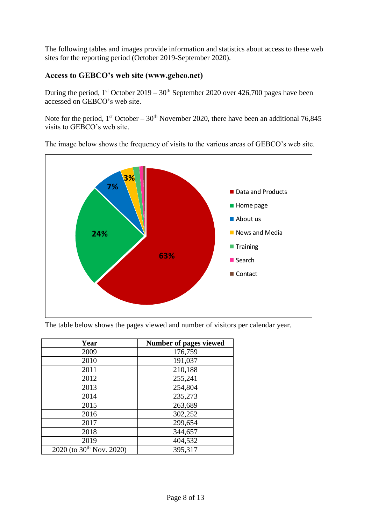The following tables and images provide information and statistics about access to these web sites for the reporting period (October 2019-September 2020).

## **Access to GEBCO's web site (www.gebco.net)**

During the period,  $1^{st}$  October 2019 –  $30^{th}$  September 2020 over 426,700 pages have been accessed on GEBCO's web site.

Note for the period,  $1<sup>st</sup> October - 30<sup>th</sup> November 2020$ , there have been an additional 76,845 visits to GEBCO's web site.



The image below shows the frequency of visits to the various areas of GEBCO's web site.

The table below shows the pages viewed and number of visitors per calendar year.

| Year                          | <b>Number of pages viewed</b> |
|-------------------------------|-------------------------------|
| 2009                          | 176,759                       |
| 2010                          | 191,037                       |
| 2011                          | 210,188                       |
| 2012                          | 255,241                       |
| 2013                          | 254,804                       |
| 2014                          | 235,273                       |
| 2015                          | 263,689                       |
| 2016                          | 302,252                       |
| 2017                          | 299,654                       |
| 2018                          | 344,657                       |
| 2019                          | 404,532                       |
| 2020 (to $30^{th}$ Nov. 2020) | 395,317                       |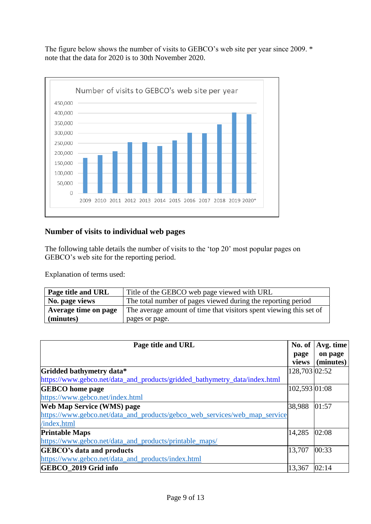The figure below shows the number of visits to GEBCO's web site per year since 2009. \* note that the data for 2020 is to 30th November 2020.



### **Number of visits to individual web pages**

The following table details the number of visits to the 'top 20' most popular pages on GEBCO's web site for the reporting period.

Explanation of terms used:

| Page title and URL   | Title of the GEBCO web page viewed with URL                        |
|----------------------|--------------------------------------------------------------------|
| No. page views       | The total number of pages viewed during the reporting period       |
| Average time on page | The average amount of time that visitors spent viewing this set of |
| (minutes)            | pages or page.                                                     |

| Page title and URL                                                         |               | Avg. time |
|----------------------------------------------------------------------------|---------------|-----------|
|                                                                            | page          | on page   |
|                                                                            | views         | (minutes) |
| Gridded bathymetry data*                                                   | 128,703 02:52 |           |
| https://www.gebco.net/data_and_products/gridded_bathymetry_data/index.html |               |           |
| <b>GEBCO</b> home page                                                     | 102,593 01:08 |           |
| https://www.gebco.net/index.html                                           |               |           |
| <b>Web Map Service (WMS) page</b>                                          | 38,988        | 01:57     |
| https://www.gebco.net/data_and_products/gebco_web_services/web_map_service |               |           |
| /index.html                                                                |               |           |
| <b>Printable Maps</b>                                                      | 14,285        | 02:08     |
| https://www.gebco.net/data_and_products/printable_maps/                    |               |           |
| <b>GEBCO's data and products</b>                                           | 13,707        | 00:33     |
| https://www.gebco.net/data_and_products/index.html                         |               |           |
| GEBCO 2019 Grid info                                                       | 13,367        | 02:14     |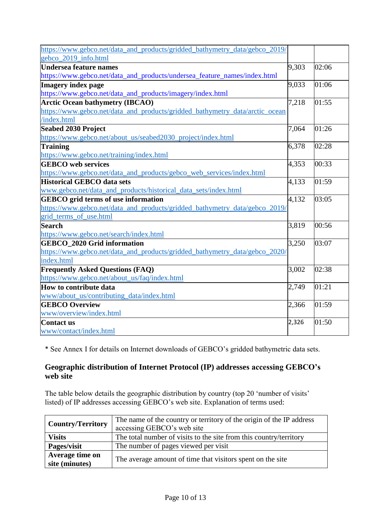| https://www.gebco.net/data_and_products/gridded_bathymetry_data/gebco_2019/  |       |       |
|------------------------------------------------------------------------------|-------|-------|
| gebco 2019 info.html                                                         |       |       |
| <b>Undersea feature names</b>                                                | 9,303 | 02:06 |
| https://www.gebco.net/data_and_products/undersea_feature_names/index.html    |       |       |
| <b>Imagery index page</b>                                                    | 9,033 | 01:06 |
| https://www.gebco.net/data_and_products/imagery/index.html                   |       |       |
| <b>Arctic Ocean bathymetry (IBCAO)</b>                                       | 7,218 | 01:55 |
| https://www.gebco.net/data_and_products/gridded_bathymetry_data/arctic_ocean |       |       |
| /index.html                                                                  |       |       |
| <b>Seabed 2030 Project</b>                                                   | 7,064 | 01:26 |
| https://www.gebco.net/about_us/seabed2030_project/index.html                 |       |       |
| <b>Training</b>                                                              | 6,378 | 02:28 |
| https://www.gebco.net/training/index.html                                    |       |       |
| <b>GEBCO</b> web services                                                    | 4,353 | 00:33 |
| https://www.gebco.net/data_and_products/gebco_web_services/index.html        |       |       |
| <b>Historical GEBCO data sets</b>                                            | 4,133 | 01:59 |
| www.gebco.net/data_and_products/historical_data_sets/index.html              |       |       |
| <b>GEBCO</b> grid terms of use information                                   | 4,132 | 03:05 |
| https://www.gebco.net/data_and_products/gridded_bathymetry_data/gebco_2019/  |       |       |
| grid_terms_of_use.html                                                       |       |       |
| <b>Search</b>                                                                | 3,819 | 00:56 |
| https://www.gebco.net/search/index.html                                      |       |       |
| <b>GEBCO_2020 Grid information</b>                                           | 3,250 | 03:07 |
| https://www.gebco.net/data_and_products/gridded_bathymetry_data/gebco_2020/  |       |       |
| index.html                                                                   |       |       |
| <b>Frequently Asked Questions (FAQ)</b>                                      | 3,002 | 02:38 |
| https://www.gebco.net/about_us/faq/index.html                                |       |       |
| How to contribute data                                                       | 2,749 | 01:21 |
| www/about_us/contributing_data/index.html                                    |       |       |
| <b>GEBCO Overview</b>                                                        | 2,366 | 01:59 |
| www/overview/index.html                                                      |       |       |
| Contact us                                                                   | 2,326 | 01:50 |
| www/contact/index.html                                                       |       |       |

\* See Annex I for details on Internet downloads of GEBCO's gridded bathymetric data sets.

## **Geographic distribution of Internet Protocol (IP) addresses accessing GEBCO's web site**

The table below details the geographic distribution by country (top 20 'number of visits' listed) of IP addresses accessing GEBCO's web site. Explanation of terms used:

| The name of the country or territory of the origin of the IP address<br><b>Country/Territory</b><br>accessing GEBCO's web site |                                                                    |  |
|--------------------------------------------------------------------------------------------------------------------------------|--------------------------------------------------------------------|--|
| <b>Visits</b>                                                                                                                  | The total number of visits to the site from this country/territory |  |
| Pages/visit                                                                                                                    | The number of pages viewed per visit                               |  |
| Average time on<br>site (minutes)                                                                                              | The average amount of time that visitors spent on the site         |  |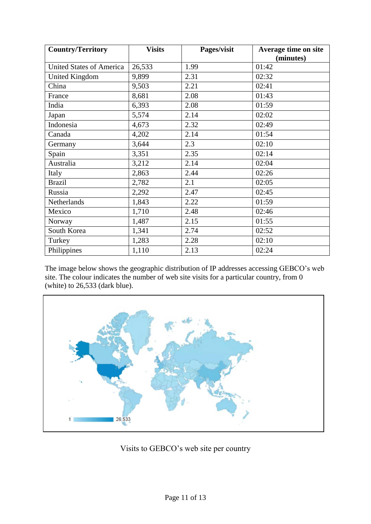| <b>Country/Territory</b>        | <b>Visits</b> | Pages/visit | Average time on site |
|---------------------------------|---------------|-------------|----------------------|
|                                 |               |             | (minutes)            |
| <b>United States of America</b> | 26,533        | 1.99        | 01:42                |
| <b>United Kingdom</b>           | 9,899         | 2.31        | 02:32                |
| China                           | 9,503         | 2.21        | 02:41                |
| France                          | 8,681         | 2.08        | 01:43                |
| India                           | 6,393         | 2.08        | 01:59                |
| Japan                           | 5,574         | 2.14        | 02:02                |
| Indonesia                       | 4,673         | 2.32        | 02:49                |
| Canada                          | 4,202         | 2.14        | 01:54                |
| Germany                         | 3,644         | 2.3         | 02:10                |
| Spain                           | 3,351         | 2.35        | 02:14                |
| Australia                       | 3,212         | 2.14        | 02:04                |
| Italy                           | 2,863         | 2.44        | 02:26                |
| <b>Brazil</b>                   | 2,782         | 2.1         | 02:05                |
| Russia                          | 2,292         | 2.47        | 02:45                |
| Netherlands                     | 1,843         | 2.22        | 01:59                |
| Mexico                          | 1,710         | 2.48        | 02:46                |
| Norway                          | 1,487         | 2.15        | 01:55                |
| South Korea                     | 1,341         | 2.74        | 02:52                |
| Turkey                          | 1,283         | 2.28        | 02:10                |
| Philippines                     | 1,110         | 2.13        | 02:24                |

The image below shows the geographic distribution of IP addresses accessing GEBCO's web site. The colour indicates the number of web site visits for a particular country, from 0 (white) to 26,533 (dark blue).



Visits to GEBCO's web site per country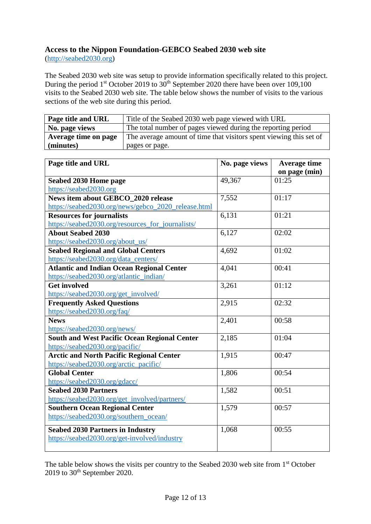## **Access to the Nippon Foundation-GEBCO Seabed 2030 web site**

[\(http://seabed2030.org\)](http://seabed2030.org/)

The Seabed 2030 web site was setup to provide information specifically related to this project. During the period 1<sup>st</sup> October 2019 to  $30<sup>th</sup>$  September 2020 there have been over 109,100 visits to the Seabed 2030 web site. The table below shows the number of visits to the various sections of the web site during this period.

| Page title and URL   | Title of the Seabed 2030 web page viewed with URL                  |
|----------------------|--------------------------------------------------------------------|
| No. page views       | The total number of pages viewed during the reporting period       |
| Average time on page | The average amount of time that visitors spent viewing this set of |
| (minutes)            | pages or page.                                                     |

| Page title and URL                                  | No. page views | <b>Average time</b> |
|-----------------------------------------------------|----------------|---------------------|
|                                                     |                | on page (min)       |
| Seabed 2030 Home page                               | 49,367         | 01:25               |
| https://seabed2030.org                              |                |                     |
| News item about GEBCO_2020 release                  | 7,552          | 01:17               |
| https://seabed2030.org/news/gebco_2020_release.html |                |                     |
| <b>Resources for journalists</b>                    | 6,131          | 01:21               |
| https://seabed2030.org/resources_for_journalists/   |                |                     |
| <b>About Seabed 2030</b>                            | 6,127          | 02:02               |
| https://seabed2030.org/about_us/                    |                |                     |
| <b>Seabed Regional and Global Centers</b>           | 4,692          | 01:02               |
| https://seabed2030.org/data_centers/                |                |                     |
| <b>Atlantic and Indian Ocean Regional Center</b>    | 4,041          | 00:41               |
| https://seabed2030.org/atlantic_indian/             |                |                     |
| <b>Get involved</b>                                 | 3,261          | 01:12               |
| https://seabed2030.org/get_involved/                |                |                     |
| <b>Frequently Asked Questions</b>                   | 2,915          | 02:32               |
| https://seabed2030.org/faq/                         |                |                     |
| <b>News</b>                                         | 2,401          | 00:58               |
| https://seabed2030.org/news/                        |                |                     |
| <b>South and West Pacific Ocean Regional Center</b> | 2,185          | 01:04               |
| https://seabed2030.org/pacific/                     |                |                     |
| <b>Arctic and North Pacific Regional Center</b>     | 1,915          | 00:47               |
| https://seabed2030.org/arctic_pacific/              |                |                     |
| <b>Global Center</b>                                | 1,806          | 00:54               |
| https://seabed2030.org/gdacc/                       |                |                     |
| <b>Seabed 2030 Partners</b>                         | 1,582          | 00:51               |
| https://seabed2030.org/get_involved/partners/       |                |                     |
| <b>Southern Ocean Regional Center</b>               | 1,579          | 00:57               |
| https://seabed2030.org/southern_ocean/              |                |                     |
| <b>Seabed 2030 Partners in Industry</b>             | 1,068          | 00:55               |
| https://seabed2030.org/get-involved/industry        |                |                     |
|                                                     |                |                     |

The table below shows the visits per country to the Seabed 2030 web site from 1<sup>st</sup> October  $2019$  to  $30<sup>th</sup>$  September 2020.